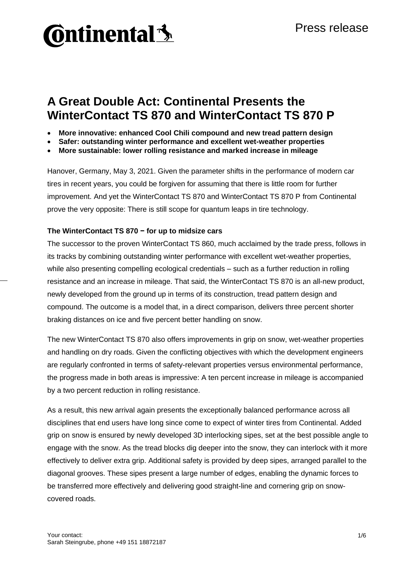

## **A Great Double Act: Continental Presents the WinterContact TS 870 and WinterContact TS 870 P**

- **More innovative: enhanced Cool Chili compound and new tread pattern design**
- **Safer: outstanding winter performance and excellent wet-weather properties**
- **More sustainable: lower rolling resistance and marked increase in mileage**

Hanover, Germany, May 3, 2021. Given the parameter shifts in the performance of modern car tires in recent years, you could be forgiven for assuming that there is little room for further improvement. And yet the WinterContact TS 870 and WinterContact TS 870 P from Continental prove the very opposite: There is still scope for quantum leaps in tire technology.

#### **The WinterContact TS 870 − for up to midsize cars**

The successor to the proven WinterContact TS 860, much acclaimed by the trade press, follows in its tracks by combining outstanding winter performance with excellent wet-weather properties, while also presenting compelling ecological credentials – such as a further reduction in rolling resistance and an increase in mileage. That said, the WinterContact TS 870 is an all-new product, newly developed from the ground up in terms of its construction, tread pattern design and compound. The outcome is a model that, in a direct comparison, delivers three percent shorter braking distances on ice and five percent better handling on snow.

The new WinterContact TS 870 also offers improvements in grip on snow, wet-weather properties and handling on dry roads. Given the conflicting objectives with which the development engineers are regularly confronted in terms of safety-relevant properties versus environmental performance, the progress made in both areas is impressive: A ten percent increase in mileage is accompanied by a two percent reduction in rolling resistance.

As a result, this new arrival again presents the exceptionally balanced performance across all disciplines that end users have long since come to expect of winter tires from Continental. Added grip on snow is ensured by newly developed 3D interlocking sipes, set at the best possible angle to engage with the snow. As the tread blocks dig deeper into the snow, they can interlock with it more effectively to deliver extra grip. Additional safety is provided by deep sipes, arranged parallel to the diagonal grooves. These sipes present a large number of edges, enabling the dynamic forces to be transferred more effectively and delivering good straight-line and cornering grip on snowcovered roads.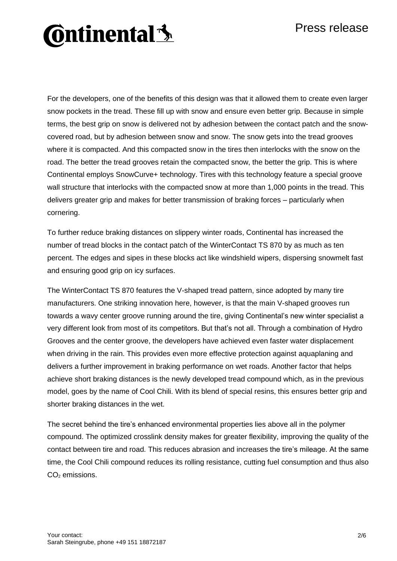### Press release

# **Ontinental 3**

For the developers, one of the benefits of this design was that it allowed them to create even larger snow pockets in the tread. These fill up with snow and ensure even better grip. Because in simple terms, the best grip on snow is delivered not by adhesion between the contact patch and the snowcovered road, but by adhesion between snow and snow. The snow gets into the tread grooves where it is compacted. And this compacted snow in the tires then interlocks with the snow on the road. The better the tread grooves retain the compacted snow, the better the grip. This is where Continental employs SnowCurve+ technology. Tires with this technology feature a special groove wall structure that interlocks with the compacted snow at more than 1,000 points in the tread. This delivers greater grip and makes for better transmission of braking forces – particularly when cornering.

To further reduce braking distances on slippery winter roads, Continental has increased the number of tread blocks in the contact patch of the WinterContact TS 870 by as much as ten percent. The edges and sipes in these blocks act like windshield wipers, dispersing snowmelt fast and ensuring good grip on icy surfaces.

The WinterContact TS 870 features the V-shaped tread pattern, since adopted by many tire manufacturers. One striking innovation here, however, is that the main V-shaped grooves run towards a wavy center groove running around the tire, giving Continental's new winter specialist a very different look from most of its competitors. But that's not all. Through a combination of Hydro Grooves and the center groove, the developers have achieved even faster water displacement when driving in the rain. This provides even more effective protection against aquaplaning and delivers a further improvement in braking performance on wet roads. Another factor that helps achieve short braking distances is the newly developed tread compound which, as in the previous model, goes by the name of Cool Chili. With its blend of special resins, this ensures better grip and shorter braking distances in the wet.

The secret behind the tire's enhanced environmental properties lies above all in the polymer compound. The optimized crosslink density makes for greater flexibility, improving the quality of the contact between tire and road. This reduces abrasion and increases the tire's mileage. At the same time, the Cool Chili compound reduces its rolling resistance, cutting fuel consumption and thus also  $CO<sub>2</sub>$  emissions.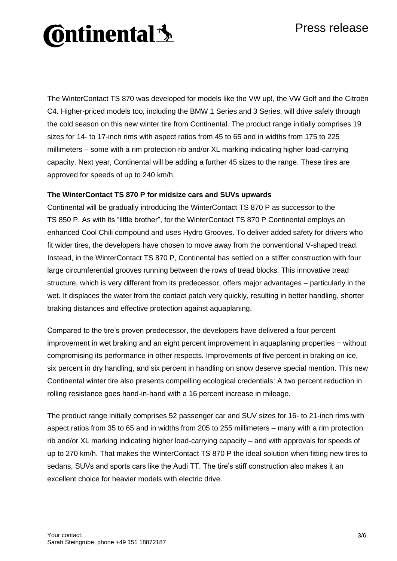### Press release

# **Ontinental 3**

The WinterContact TS 870 was developed for models like the VW up!, the VW Golf and the Citroën C4. Higher-priced models too, including the BMW 1 Series and 3 Series, will drive safely through the cold season on this new winter tire from Continental. The product range initially comprises 19 sizes for 14- to 17-inch rims with aspect ratios from 45 to 65 and in widths from 175 to 225 millimeters – some with a rim protection rib and/or XL marking indicating higher load-carrying capacity. Next year, Continental will be adding a further 45 sizes to the range. These tires are approved for speeds of up to 240 km/h.

### **The WinterContact TS 870 P for midsize cars and SUVs upwards**

Continental will be gradually introducing the WinterContact TS 870 P as successor to the TS 850 P. As with its "little brother", for the WinterContact TS 870 P Continental employs an enhanced Cool Chili compound and uses Hydro Grooves. To deliver added safety for drivers who fit wider tires, the developers have chosen to move away from the conventional V-shaped tread. Instead, in the WinterContact TS 870 P, Continental has settled on a stiffer construction with four large circumferential grooves running between the rows of tread blocks. This innovative tread structure, which is very different from its predecessor, offers major advantages – particularly in the wet. It displaces the water from the contact patch very quickly, resulting in better handling, shorter braking distances and effective protection against aquaplaning.

Compared to the tire's proven predecessor, the developers have delivered a four percent improvement in wet braking and an eight percent improvement in aquaplaning properties − without compromising its performance in other respects. Improvements of five percent in braking on ice, six percent in dry handling, and six percent in handling on snow deserve special mention. This new Continental winter tire also presents compelling ecological credentials: A two percent reduction in rolling resistance goes hand-in-hand with a 16 percent increase in mileage.

The product range initially comprises 52 passenger car and SUV sizes for 16- to 21-inch rims with aspect ratios from 35 to 65 and in widths from 205 to 255 millimeters – many with a rim protection rib and/or XL marking indicating higher load-carrying capacity – and with approvals for speeds of up to 270 km/h. That makes the WinterContact TS 870 P the ideal solution when fitting new tires to sedans, SUVs and sports cars like the Audi TT. The tire's stiff construction also makes it an excellent choice for heavier models with electric drive.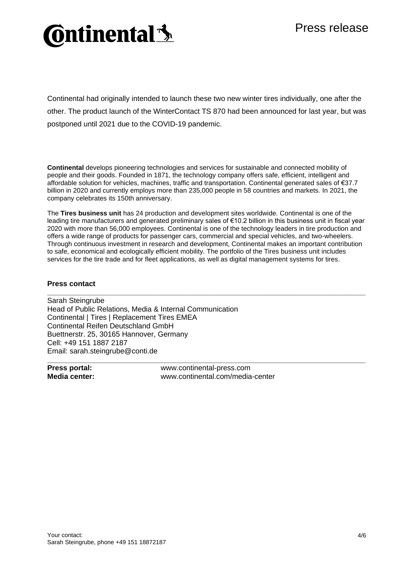## **Ontinental 3**

Continental had originally intended to launch these two new winter tires individually, one after the other. The product launch of the WinterContact TS 870 had been announced for last year, but was postponed until 2021 due to the COVID-19 pandemic.

**Continental** develops pioneering technologies and services for sustainable and connected mobility of people and their goods. Founded in 1871, the technology company offers safe, efficient, intelligent and affordable solution for vehicles, machines, traffic and transportation. Continental generated sales of €37.7 billion in 2020 and currently employs more than 235,000 people in 58 countries and markets. In 2021, the company celebrates its 150th anniversary.

The **Tires business unit** has 24 production and development sites worldwide. Continental is one of the leading tire manufacturers and generated preliminary sales of €10.2 billion in this business unit in fiscal year 2020 with more than 56,000 employees. Continental is one of the technology leaders in tire production and offers a wide range of products for passenger cars, commercial and special vehicles, and two-wheelers. Through continuous investment in research and development, Continental makes an important contribution to safe, economical and ecologically efficient mobility. The portfolio of the Tires business unit includes services for the tire trade and for fleet applications, as well as digital management systems for tires.

**\_\_\_\_\_\_\_\_\_\_\_\_\_\_\_\_\_\_\_\_\_\_\_\_\_\_\_\_\_\_\_\_\_\_\_\_\_\_\_\_\_\_\_\_\_\_\_\_\_\_\_\_\_\_\_\_\_\_\_\_\_\_\_\_\_\_\_\_\_\_\_\_\_\_\_\_\_\_**

**\_\_\_\_\_\_\_\_\_\_\_\_\_\_\_\_\_\_\_\_\_\_\_\_\_\_\_\_\_\_\_\_\_\_\_\_\_\_\_\_\_\_\_\_\_\_\_\_\_\_\_\_\_\_\_\_\_\_\_\_\_\_\_\_\_\_\_\_\_\_\_\_\_\_\_\_\_\_**

#### **Press contact**

Sarah Steingrube Head of Public Relations, Media & Internal Communication Continental | Tires | Replacement Tires EMEA Continental Reifen Deutschland GmbH Buettnerstr. 25, 30165 Hannover, Germany Cell: +49 151 1887 2187 Email: sarah.steingrube@conti.de

**Press portal:** www.continental-press.com<br> **Media center:** www.continental.com/media **Media center:** www.continental.com/media-center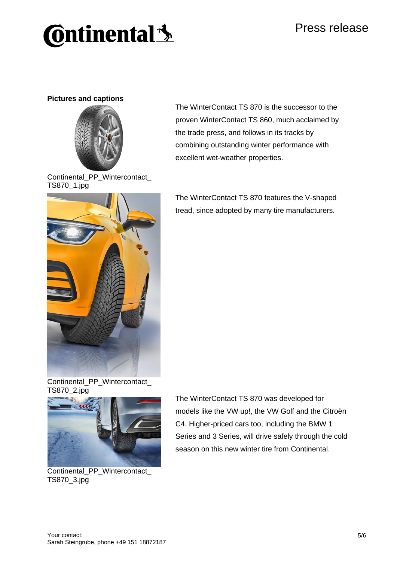## **Continental** \$

### **Pictures and captions**



Continental\_PP\_Wintercontact\_ TS870\_1.jpg

The WinterContact TS 870 is the successor to the proven WinterContact TS 860, much acclaimed by the trade press, and follows in its tracks by combining outstanding winter performance with excellent wet-weather properties.



The WinterContact TS 870 features the V-shaped tread, since adopted by many tire manufacturers.





Continental\_PP\_Wintercontact\_ TS870\_3.jpg

The WinterContact TS 870 was developed for models like the VW up!, the VW Golf and the Citroën C4. Higher-priced cars too, including the BMW 1 Series and 3 Series, will drive safely through the cold season on this new winter tire from Continental.